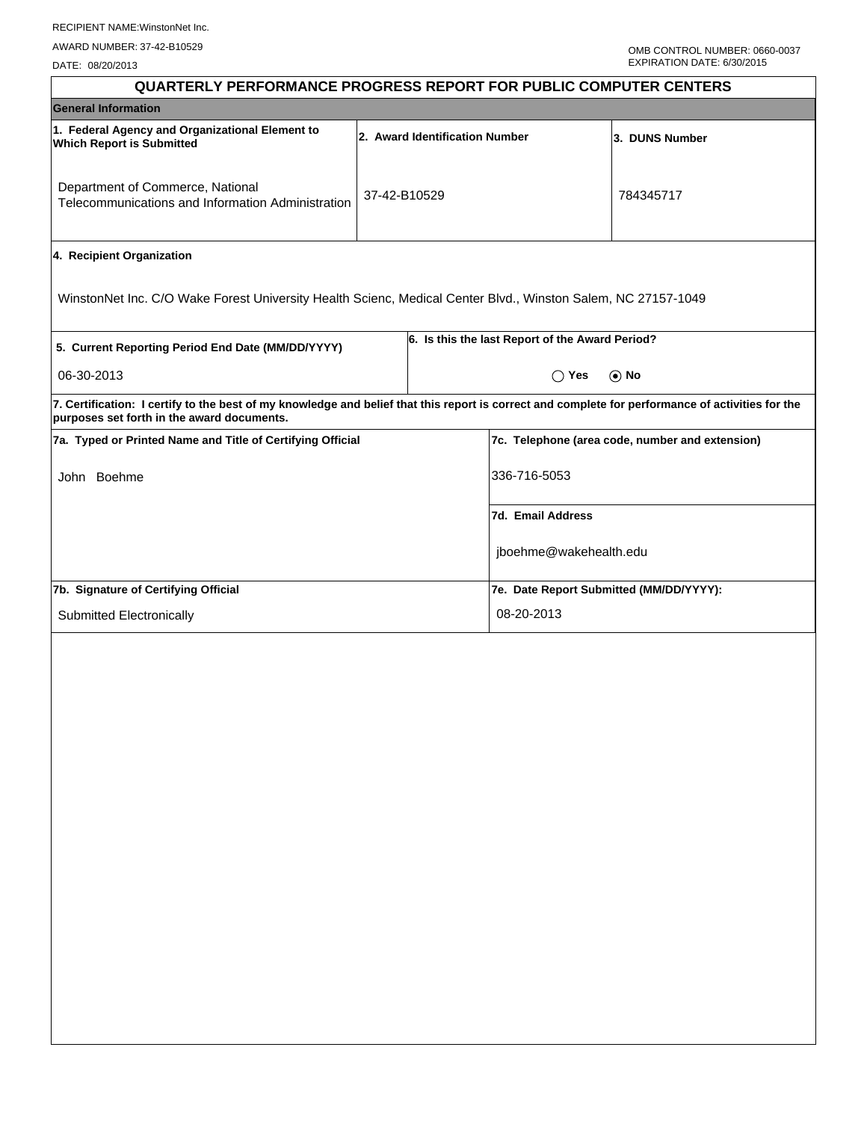DATE: 08/20/2013

| <b>QUARTERLY PERFORMANCE PROGRESS REPORT FOR PUBLIC COMPUTER CENTERS</b>                                                                                                                        |              |                                |                                                 |                                                 |  |  |
|-------------------------------------------------------------------------------------------------------------------------------------------------------------------------------------------------|--------------|--------------------------------|-------------------------------------------------|-------------------------------------------------|--|--|
| <b>General Information</b>                                                                                                                                                                      |              |                                |                                                 |                                                 |  |  |
| 1. Federal Agency and Organizational Element to<br><b>Which Report is Submitted</b>                                                                                                             |              | 2. Award Identification Number |                                                 | 3. DUNS Number                                  |  |  |
| Department of Commerce, National<br>Telecommunications and Information Administration                                                                                                           | 37-42-B10529 |                                |                                                 | 784345717                                       |  |  |
| 4. Recipient Organization                                                                                                                                                                       |              |                                |                                                 |                                                 |  |  |
| WinstonNet Inc. C/O Wake Forest University Health Scienc, Medical Center Blvd., Winston Salem, NC 27157-1049                                                                                    |              |                                |                                                 |                                                 |  |  |
| 5. Current Reporting Period End Date (MM/DD/YYYY)                                                                                                                                               |              |                                | 6. Is this the last Report of the Award Period? |                                                 |  |  |
| 06-30-2013                                                                                                                                                                                      |              |                                | $\bigcirc$ Yes                                  | $\odot$ No                                      |  |  |
| 7. Certification: I certify to the best of my knowledge and belief that this report is correct and complete for performance of activities for the<br>purposes set forth in the award documents. |              |                                |                                                 |                                                 |  |  |
| 7a. Typed or Printed Name and Title of Certifying Official                                                                                                                                      |              |                                |                                                 | 7c. Telephone (area code, number and extension) |  |  |
| John Boehme                                                                                                                                                                                     |              |                                | 336-716-5053                                    |                                                 |  |  |
|                                                                                                                                                                                                 |              |                                | 7d. Email Address                               |                                                 |  |  |
|                                                                                                                                                                                                 |              |                                | jboehme@wakehealth.edu                          |                                                 |  |  |
| 7b. Signature of Certifying Official                                                                                                                                                            |              |                                | 7e. Date Report Submitted (MM/DD/YYYY):         |                                                 |  |  |
| Submitted Electronically                                                                                                                                                                        |              |                                | 08-20-2013                                      |                                                 |  |  |
|                                                                                                                                                                                                 |              |                                |                                                 |                                                 |  |  |
|                                                                                                                                                                                                 |              |                                |                                                 |                                                 |  |  |
|                                                                                                                                                                                                 |              |                                |                                                 |                                                 |  |  |
|                                                                                                                                                                                                 |              |                                |                                                 |                                                 |  |  |
|                                                                                                                                                                                                 |              |                                |                                                 |                                                 |  |  |
|                                                                                                                                                                                                 |              |                                |                                                 |                                                 |  |  |
|                                                                                                                                                                                                 |              |                                |                                                 |                                                 |  |  |
|                                                                                                                                                                                                 |              |                                |                                                 |                                                 |  |  |
|                                                                                                                                                                                                 |              |                                |                                                 |                                                 |  |  |
|                                                                                                                                                                                                 |              |                                |                                                 |                                                 |  |  |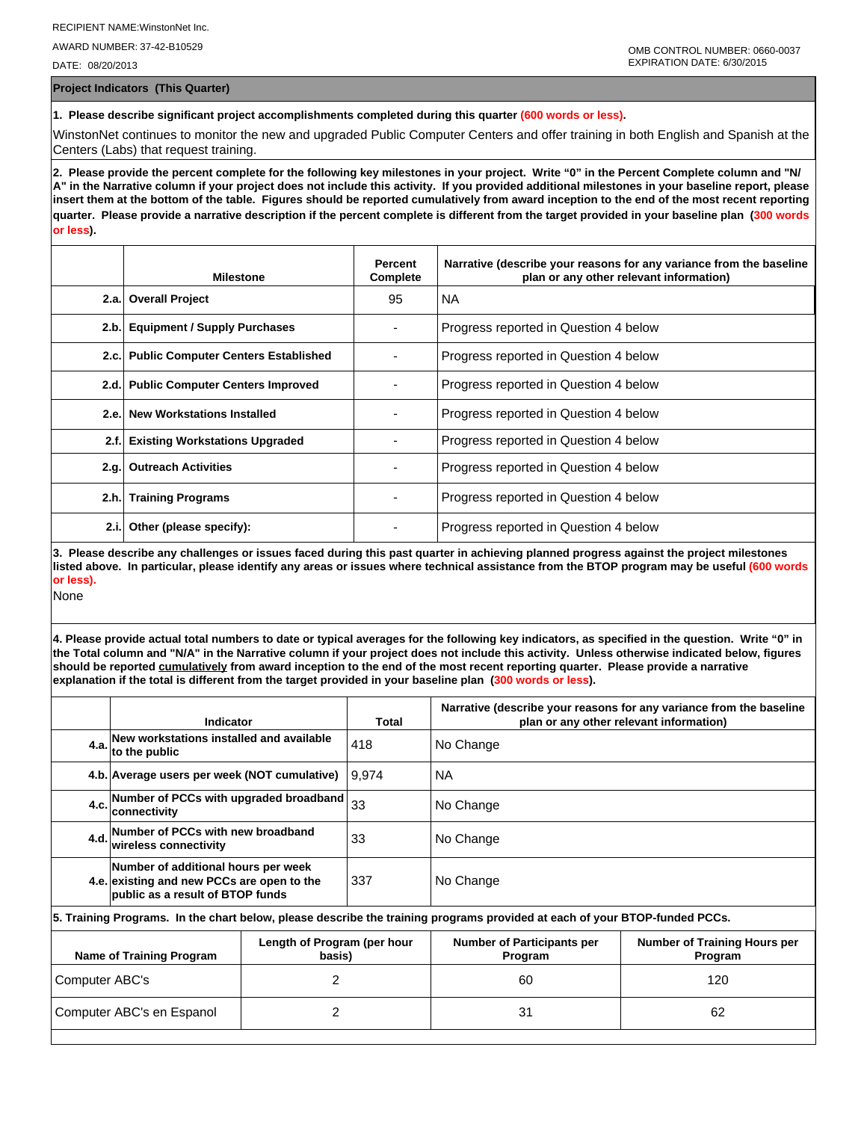AWARD NUMBER: 37-42-B10529

DATE: 08/20/2013

**Project Indicators (This Quarter)**

**1. Please describe significant project accomplishments completed during this quarter (600 words or less).**

WinstonNet continues to monitor the new and upgraded Public Computer Centers and offer training in both English and Spanish at the Centers (Labs) that request training.

**2. Please provide the percent complete for the following key milestones in your project. Write "0" in the Percent Complete column and "N/ A" in the Narrative column if your project does not include this activity. If you provided additional milestones in your baseline report, please insert them at the bottom of the table. Figures should be reported cumulatively from award inception to the end of the most recent reporting quarter. Please provide a narrative description if the percent complete is different from the target provided in your baseline plan (300 words or less).**

|       | <b>Milestone</b>                         | <b>Percent</b><br>Complete | Narrative (describe your reasons for any variance from the baseline<br>plan or any other relevant information) |
|-------|------------------------------------------|----------------------------|----------------------------------------------------------------------------------------------------------------|
|       | 2.a. Overall Project                     | 95                         | l NA                                                                                                           |
| 2.b.  | <b>Equipment / Supply Purchases</b>      |                            | Progress reported in Question 4 below                                                                          |
|       | 2.c. Public Computer Centers Established |                            | Progress reported in Question 4 below                                                                          |
|       | 2.d. Public Computer Centers Improved    |                            | Progress reported in Question 4 below                                                                          |
| 2.e.  | <b>New Workstations Installed</b>        |                            | Progress reported in Question 4 below                                                                          |
| 2.f.  | <b>Existing Workstations Upgraded</b>    |                            | Progress reported in Question 4 below                                                                          |
|       | 2.g. Outreach Activities                 |                            | Progress reported in Question 4 below                                                                          |
|       | 2.h. Training Programs                   |                            | Progress reported in Question 4 below                                                                          |
| 2.i.l | Other (please specify):                  |                            | Progress reported in Question 4 below                                                                          |

**3. Please describe any challenges or issues faced during this past quarter in achieving planned progress against the project milestones listed above. In particular, please identify any areas or issues where technical assistance from the BTOP program may be useful (600 words or less).**

None

**4. Please provide actual total numbers to date or typical averages for the following key indicators, as specified in the question. Write "0" in the Total column and "N/A" in the Narrative column if your project does not include this activity. Unless otherwise indicated below, figures should be reported cumulatively from award inception to the end of the most recent reporting quarter. Please provide a narrative explanation if the total is different from the target provided in your baseline plan (300 words or less).** 

|                                                                   | Indicator                                                                                                                  |  | Total                                        | Narrative (describe your reasons for any variance from the baseline<br>plan or any other relevant information) |  |  |  |
|-------------------------------------------------------------------|----------------------------------------------------------------------------------------------------------------------------|--|----------------------------------------------|----------------------------------------------------------------------------------------------------------------|--|--|--|
|                                                                   | 4.a. New workstations installed and available<br>4.a. to the public                                                        |  | 418                                          | No Change                                                                                                      |  |  |  |
|                                                                   | 4.b. Average users per week (NOT cumulative)                                                                               |  | 9.974                                        | <b>NA</b>                                                                                                      |  |  |  |
|                                                                   | Number of PCCs with upgraded broadband<br>4.c.<br>Iconnectivitv                                                            |  | 33                                           | No Change                                                                                                      |  |  |  |
|                                                                   | Number of PCCs with new broadband<br>4.d.<br>wireless connectivity                                                         |  | 33                                           | No Change                                                                                                      |  |  |  |
|                                                                   | Number of additional hours per week<br>4.e. existing and new PCCs are open to the<br>public as a result of BTOP funds      |  | 337                                          | No Change                                                                                                      |  |  |  |
|                                                                   | 5. Training Programs. In the chart below, please describe the training programs provided at each of your BTOP-funded PCCs. |  |                                              |                                                                                                                |  |  |  |
| Length of Program (per hour<br>Name of Training Program<br>basis) |                                                                                                                            |  | <b>Number of Participants per</b><br>Program | <b>Number of Training Hours per</b><br>Program                                                                 |  |  |  |
| 2<br>Computer ABC's                                               |                                                                                                                            |  | 60                                           | 120                                                                                                            |  |  |  |
| 2<br>Computer ABC's en Espanol                                    |                                                                                                                            |  | 31                                           | 62                                                                                                             |  |  |  |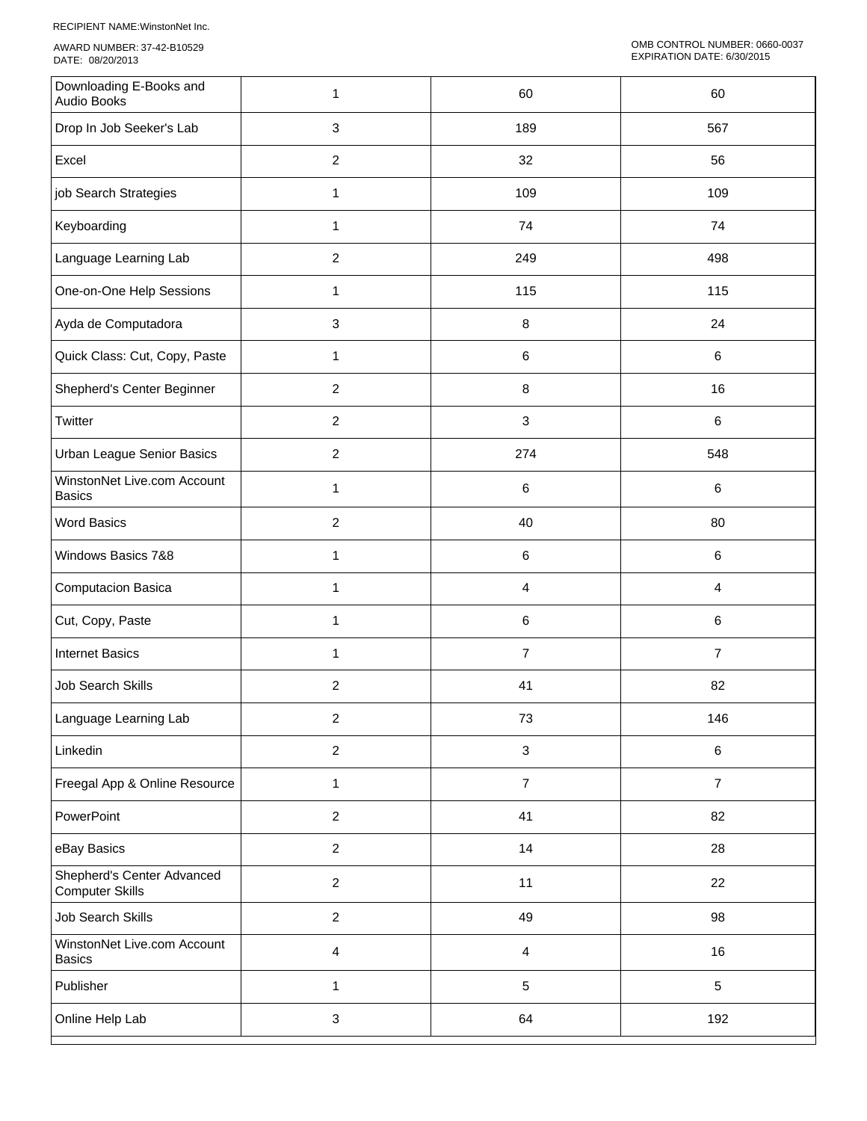RECIPIENT NAME:WinstonNet Inc.

AWARD NUMBER: 37-42-B10529 DATE: 08/20/2013

| Downloading E-Books and<br>Audio Books               | 1                | 60             | 60             |
|------------------------------------------------------|------------------|----------------|----------------|
| Drop In Job Seeker's Lab                             | $\mathbf{3}$     | 189            | 567            |
| Excel                                                | $\overline{c}$   | 32             | 56             |
| job Search Strategies                                | 1                | 109            | 109            |
| Keyboarding                                          | 1                | 74             | 74             |
| Language Learning Lab                                | $\overline{2}$   | 249            | 498            |
| One-on-One Help Sessions                             | 1                | 115            | 115            |
| Ayda de Computadora                                  | 3                | 8              | 24             |
| Quick Class: Cut, Copy, Paste                        | 1                | $\,6\,$        | $\,6\,$        |
| Shepherd's Center Beginner                           | $\overline{c}$   | $\, 8$         | 16             |
| Twitter                                              | $\overline{2}$   | $\mathbf{3}$   | $\,6\,$        |
| Urban League Senior Basics                           | $\overline{2}$   | 274            | 548            |
| WinstonNet Live.com Account<br><b>Basics</b>         | 1                | 6              | $\,6\,$        |
| <b>Word Basics</b>                                   | $\overline{c}$   | 40             | 80             |
| Windows Basics 7&8                                   | $\mathbf{1}$     | $\,6\,$        | $\,6\,$        |
| Computacion Basica                                   | 1                | $\overline{4}$ | 4              |
| Cut, Copy, Paste                                     | 1                | 6              | 6              |
| <b>Internet Basics</b>                               | 1                | $\overline{7}$ | $\overline{7}$ |
| <b>Job Search Skills</b>                             | $\boldsymbol{2}$ | 41             | 82             |
| Language Learning Lab                                | $\overline{c}$   | 73             | 146            |
| Linkedin                                             | $\overline{2}$   | $\sqrt{3}$     | $\,6\,$        |
| Freegal App & Online Resource                        | $\mathbf{1}$     | $\overline{7}$ | $\overline{7}$ |
| PowerPoint                                           | $\overline{c}$   | 41             | 82             |
| eBay Basics                                          | $\overline{2}$   | 14             | 28             |
| Shepherd's Center Advanced<br><b>Computer Skills</b> | $\overline{c}$   | 11             | 22             |
| Job Search Skills                                    | $\overline{c}$   | 49             | 98             |
| WinstonNet Live.com Account<br><b>Basics</b>         | $\overline{4}$   | $\overline{4}$ | 16             |
| Publisher                                            | $\mathbf{1}$     | $\sqrt{5}$     | $5\,$          |
| Online Help Lab                                      | $\mathbf{3}$     | 64             | 192            |
|                                                      |                  |                |                |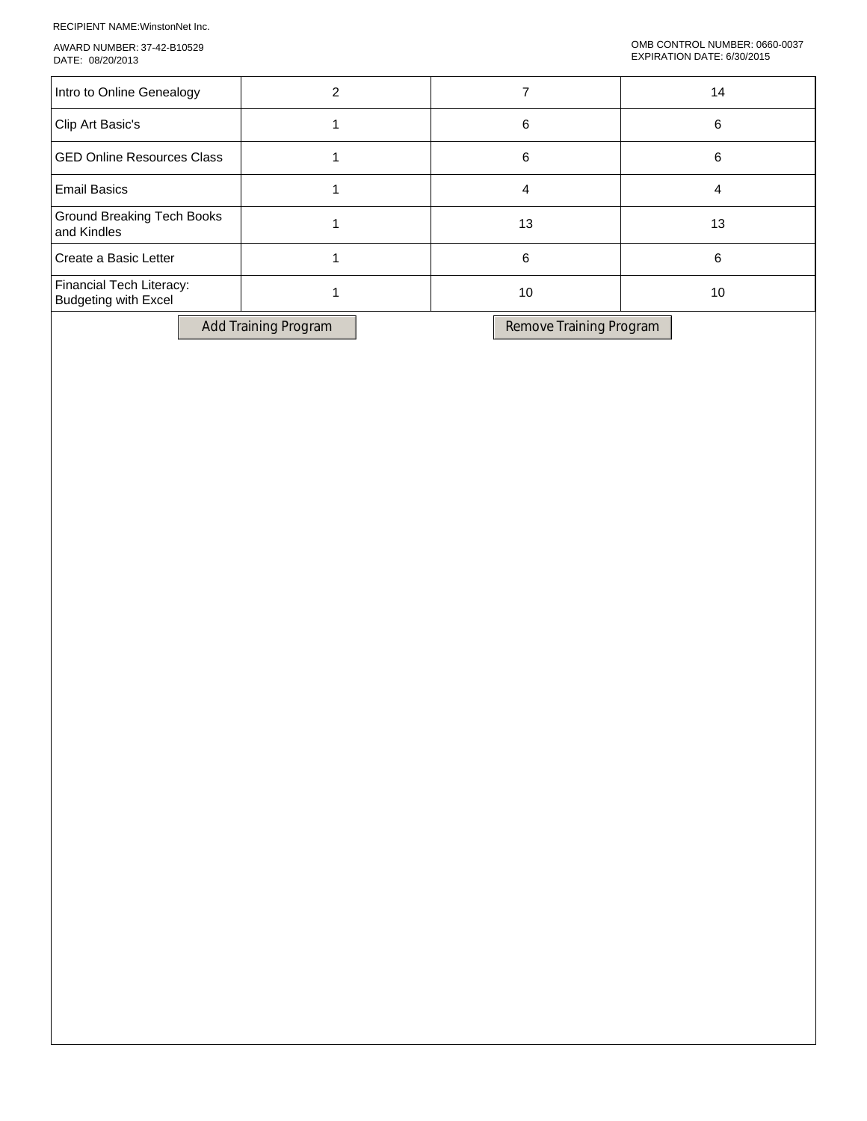RECIPIENT NAME:WinstonNet Inc.

AWARD NUMBER: 37-42-B10529 DATE: 08/20/2013

| Intro to Online Genealogy                               |    | 14 |
|---------------------------------------------------------|----|----|
| Clip Art Basic's                                        | 6  | 6  |
| <b>GED Online Resources Class</b>                       | 6  | 6  |
| <b>Email Basics</b>                                     |    |    |
| Ground Breaking Tech Books<br>and Kindles               | 13 | 13 |
| Create a Basic Letter                                   | 6  | 6  |
| Financial Tech Literacy:<br><b>Budgeting with Excel</b> | 10 | 10 |

Add Training Program Remove Training Program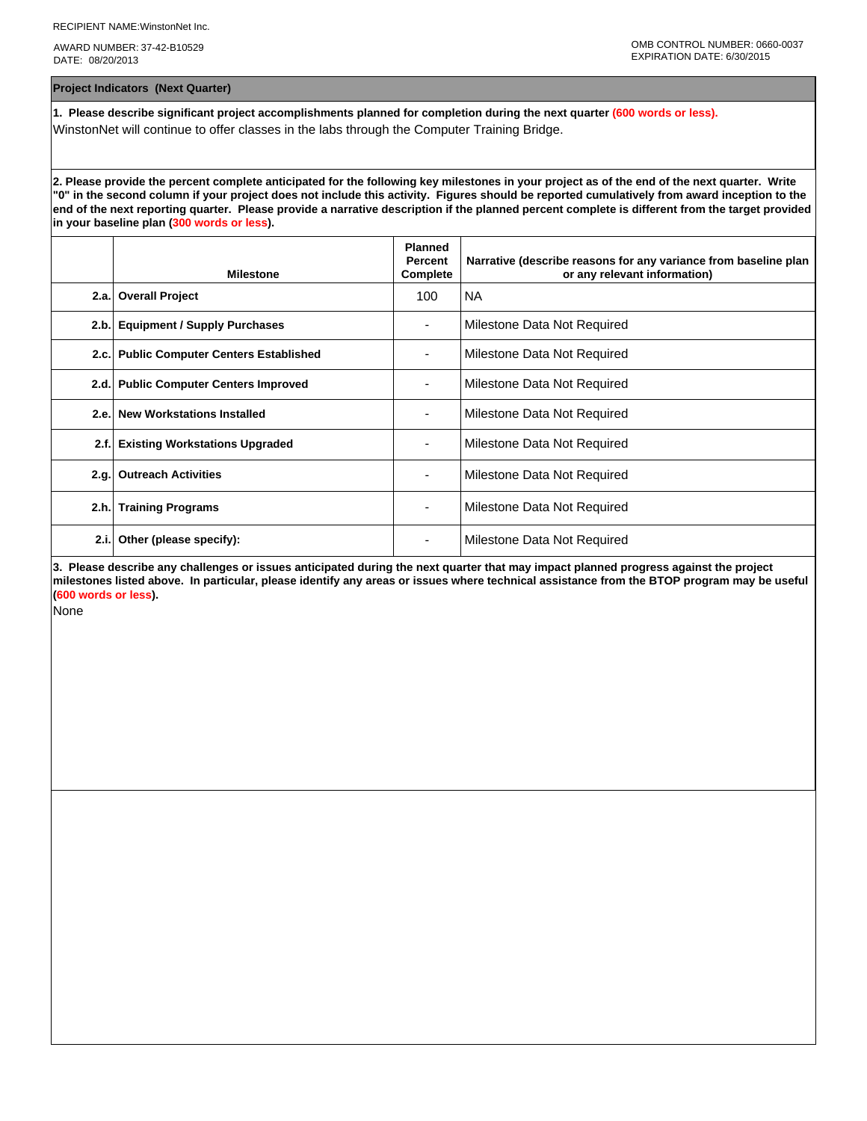AWARD NUMBER: 37-42-B10529 DATE: 08/20/2013

**Project Indicators (Next Quarter)**

**1. Please describe significant project accomplishments planned for completion during the next quarter (600 words or less).** WinstonNet will continue to offer classes in the labs through the Computer Training Bridge.

**2. Please provide the percent complete anticipated for the following key milestones in your project as of the end of the next quarter. Write "0" in the second column if your project does not include this activity. Figures should be reported cumulatively from award inception to the end of the next reporting quarter. Please provide a narrative description if the planned percent complete is different from the target provided in your baseline plan (300 words or less).**

|      | <b>Milestone</b>                         | <b>Planned</b><br><b>Percent</b><br>Complete | Narrative (describe reasons for any variance from baseline plan<br>or any relevant information) |
|------|------------------------------------------|----------------------------------------------|-------------------------------------------------------------------------------------------------|
| 2.a. | <b>Overall Project</b>                   | 100                                          | <b>NA</b>                                                                                       |
| 2.b. | <b>Equipment / Supply Purchases</b>      |                                              | Milestone Data Not Required                                                                     |
|      | 2.c. Public Computer Centers Established |                                              | Milestone Data Not Required                                                                     |
| 2.d. | <b>Public Computer Centers Improved</b>  |                                              | Milestone Data Not Required                                                                     |
|      | 2.e. New Workstations Installed          | ۰.                                           | Milestone Data Not Required                                                                     |
| 2.f. | <b>Existing Workstations Upgraded</b>    |                                              | Milestone Data Not Required                                                                     |
| 2.q. | <b>Outreach Activities</b>               |                                              | Milestone Data Not Required                                                                     |
| 2.h. | <b>Training Programs</b>                 | ٠                                            | Milestone Data Not Required                                                                     |
| 2.i. | Other (please specify):                  |                                              | Milestone Data Not Required                                                                     |

**3. Please describe any challenges or issues anticipated during the next quarter that may impact planned progress against the project milestones listed above. In particular, please identify any areas or issues where technical assistance from the BTOP program may be useful (600 words or less).**

None